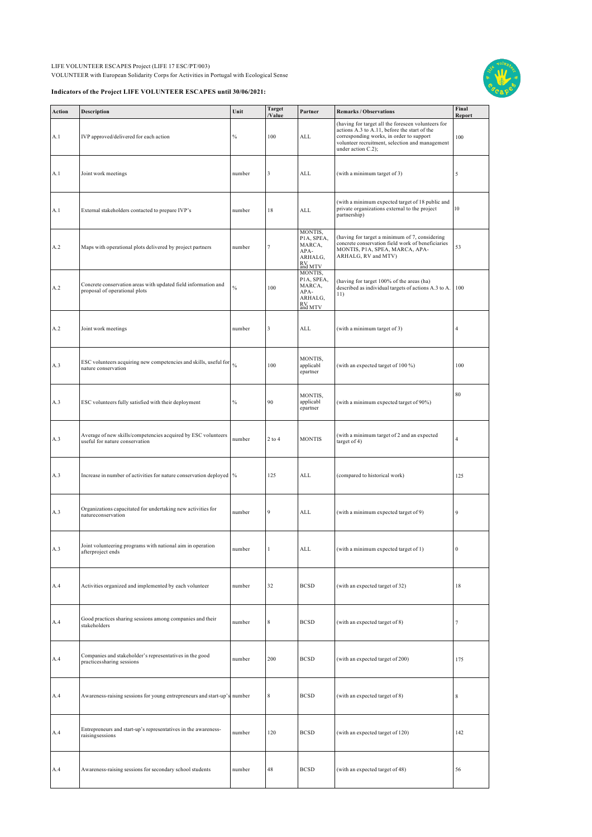LIFE VOLUNTEER ESCAPES Project (LIFE 17 ESC/PT/003) VOLUNTEER with European Solidarity Corps for Activities in Portugal with Ecological Sense

## **Indicators of the Project LIFE VOLUNTEER ESCAPES until 30/06/2021:**



| Action | Description                                                                                            | Unit          | <b>Target</b><br>/Value | Partner                                                                                | <b>Remarks / Observations</b>                                                                                                                                                                                           | Final<br>Report |
|--------|--------------------------------------------------------------------------------------------------------|---------------|-------------------------|----------------------------------------------------------------------------------------|-------------------------------------------------------------------------------------------------------------------------------------------------------------------------------------------------------------------------|-----------------|
| A.1    | IVP approved/delivered for each action                                                                 | $\%$          | 100                     | ALL                                                                                    | (having for target all the foreseen volunteers for<br>actions A.3 to A.11, before the start of the<br>corresponding works, in order to support<br>volunteer recruitment, selection and management<br>under action C.2); | 100             |
| A.1    | Joint work meetings                                                                                    | number        | 3                       | ALL                                                                                    | (with a minimum target of 3)                                                                                                                                                                                            | 5               |
| A.1    | External stakeholders contacted to prepare IVP's                                                       | number        | 18                      | ALL                                                                                    | (with a minimum expected target of 18 public and<br>private organizations external to the project<br>partnership)                                                                                                       | 10              |
| A.2    | Maps with operational plots delivered by project partners                                              | number        | 7                       | MONTIS,<br>PIA, SPEA,<br>MARCA,<br>APA-<br>ARHALG,<br>RV<br>and MTV                    | (having for target a minimum of 7, considering<br>concrete conservation field work of beneficiaries<br>MONTIS, P1A, SPEA, MARCA, APA-<br>ARHALG, RV and MTV)                                                            | 53              |
| A.2    | Concrete conservation areas with updated field information and<br>proposal of operational plots        | $\frac{0}{0}$ | 100                     | MONTIS,<br>PIA, SPEA,<br>MARCA,<br>APA-<br>ARHALG,<br>$\mathop{\rm RV}_{\rm and\,MTV}$ | (having for target 100% of the areas (ha)<br>described as individual targets of actions A.3 to A.<br>11)                                                                                                                | 100             |
| A.2    | Joint work meetings                                                                                    | number        | 3                       | ALL                                                                                    | (with a minimum target of 3)                                                                                                                                                                                            | $\overline{4}$  |
| A.3    | ESC volunteers acquiring new competencies and skills, useful for $\frac{9}{96}$<br>nature conservation |               | 100                     | MONTIS,<br>applicabl<br>epartner                                                       | (with an expected target of 100 %)                                                                                                                                                                                      | 100             |
| A.3    | ESC volunteers fully satisfied with their deployment                                                   | $\frac{0}{0}$ | 90                      | MONTIS,<br>applicabl<br>epartner                                                       | (with a minimum expected target of 90%)                                                                                                                                                                                 | 80              |
| A.3    | Average of new skills/competencies acquired by ESC volunteers<br>useful for nature conservation        | number        | $2$ to $4$              | <b>MONTIS</b>                                                                          | (with a minimum target of 2 and an expected<br>target of 4)                                                                                                                                                             | $\overline{4}$  |
| A.3    | Increase in number of activities for nature conservation deployed %                                    |               | 125                     | ALL                                                                                    | (compared to historical work)                                                                                                                                                                                           | 125             |
| A.3    | Organizations capacitated for undertaking new activities for<br>natureconservation                     | number        | 9                       | ALL                                                                                    | (with a minimum expected target of 9)                                                                                                                                                                                   | 9               |
| A.3    | Joint volunteering programs with national aim in operation<br>afterproject ends                        | number        | $\mathbf{1}$            | ALL                                                                                    | (with a minimum expected target of 1)                                                                                                                                                                                   | $\bf{0}$        |
| A.4    | Activities organized and implemented by each volunteer                                                 | number        | 32                      | <b>BCSD</b>                                                                            | (with an expected target of 32)                                                                                                                                                                                         | 18              |
| A.4    | Good practices sharing sessions among companies and their<br>stakeholders                              | number        | 8                       | <b>BCSD</b>                                                                            | (with an expected target of 8)                                                                                                                                                                                          | 7               |
| A.4    | Companies and stakeholder's representatives in the good<br>practicessharing sessions                   | number        | 200                     | <b>BCSD</b>                                                                            | (with an expected target of 200)                                                                                                                                                                                        | 175             |
| A.4    | Awareness-raising sessions for young entrepreneurs and start-up's number                               |               | $\,$ 8 $\,$             | <b>BCSD</b>                                                                            | (with an expected target of 8)                                                                                                                                                                                          | $\,$ 8 $\,$     |
| A.4    | Entrepreneurs and start-up's representatives in the awareness-<br>raisingsessions                      | number        | 120                     | <b>BCSD</b>                                                                            | (with an expected target of 120)                                                                                                                                                                                        | 142             |
| A.4    | Awareness-raising sessions for secondary school students                                               | number        | 48                      | <b>BCSD</b>                                                                            | (with an expected target of 48)                                                                                                                                                                                         | 56              |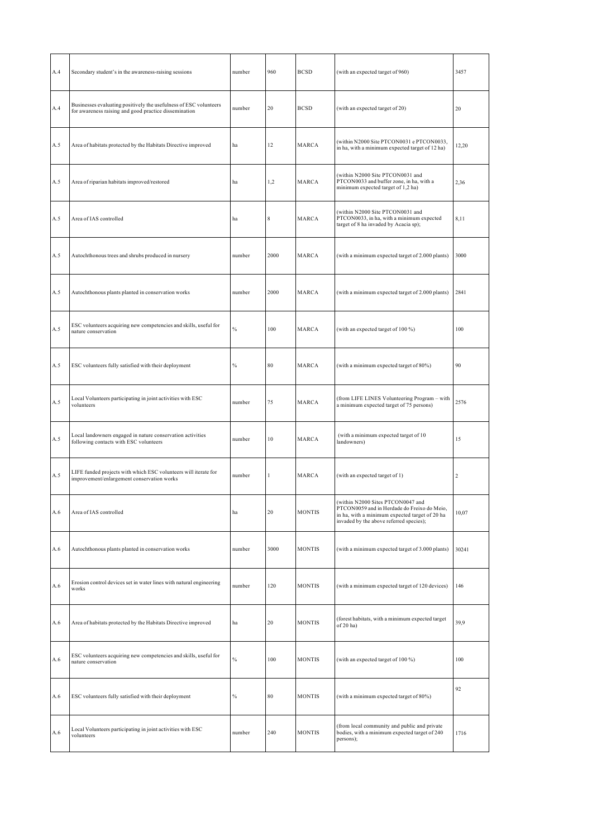| A.4 | Secondary student's in the awareness-raising sessions                                                                      | number        | 960          | <b>BCSD</b>   | (with an expected target of 960)                                                                                                                                              | 3457           |
|-----|----------------------------------------------------------------------------------------------------------------------------|---------------|--------------|---------------|-------------------------------------------------------------------------------------------------------------------------------------------------------------------------------|----------------|
| A.4 | Businesses evaluating positively the usefulness of ESC volunteers<br>for awareness raising and good practice dissemination | number        | 20           | <b>BCSD</b>   | (with an expected target of 20)                                                                                                                                               | 20             |
| A.5 | Area of habitats protected by the Habitats Directive improved                                                              | ha            | 12           | MARCA         | (within N2000 Site PTCON0031 e PTCON0033,<br>in ha, with a minimum expected target of 12 ha)                                                                                  | 12,20          |
| A.5 | Area of riparian habitats improved/restored                                                                                | ha            | 1,2          | MARCA         | (within N2000 Site PTCON0031 and<br>PTCON0033 and buffer zone, in ha, with a<br>minimum expected target of 1,2 ha)                                                            | 2,36           |
| A.5 | Area of IAS controlled                                                                                                     | ha            | $\,$ 8 $\,$  | MARCA         | (within N2000 Site PTCON0031 and<br>PTCON0033, in ha, with a minimum expected<br>target of 8 ha invaded by Acacia sp);                                                        | 8,11           |
| A.5 | Autochthonous trees and shrubs produced in nursery                                                                         | number        | 2000         | MARCA         | (with a minimum expected target of 2.000 plants)                                                                                                                              | 3000           |
| A.5 | Autochthonous plants planted in conservation works                                                                         | number        | 2000         | MARCA         | (with a minimum expected target of 2.000 plants)                                                                                                                              | 2841           |
| A.5 | ESC volunteers acquiring new competencies and skills, useful for<br>nature conservation                                    | $\frac{0}{0}$ | 100          | MARCA         | (with an expected target of 100 %)                                                                                                                                            | 100            |
| A.5 | ESC volunteers fully satisfied with their deployment                                                                       | $\%$          | 80           | MARCA         | (with a minimum expected target of 80%)                                                                                                                                       | 90             |
| A.5 | Local Volunteers participating in joint activities with ESC<br>volunteers                                                  | number        | 75           | MARCA         | (from LIFE LINES Volunteering Program - with<br>a minimum expected target of 75 persons)                                                                                      | 2576           |
| A.5 | Local landowners engaged in nature conservation activities<br>following contacts with ESC volunteers                       | number        | 10           | MARCA         | (with a minimum expected target of 10<br>landowners)                                                                                                                          | 15             |
| A.5 | LIFE funded projects with which ESC volunteers will iterate for<br>improvement/enlargement conservation works              | number        | $\mathbf{1}$ | MARCA         | (with an expected target of 1)                                                                                                                                                | $\overline{2}$ |
| A.6 | Area of IAS controlled                                                                                                     | ha            | 20           | <b>MONTIS</b> | (within N2000 Sites PTCON0047 and<br>PTCON0059 and in Herdade do Freixo do Meio,<br>in ha, with a minimum expected target of 20 ha<br>invaded by the above referred species); | 10,07          |
| A.6 | Autochthonous plants planted in conservation works                                                                         | number        | 3000         | <b>MONTIS</b> | (with a minimum expected target of 3.000 plants)                                                                                                                              | 30241          |
| A.6 | Erosion control devices set in water lines with natural engineering<br>works                                               | number        | 120          | <b>MONTIS</b> | (with a minimum expected target of 120 devices)                                                                                                                               | 146            |
| A.6 | Area of habitats protected by the Habitats Directive improved                                                              | ha            | 20           | <b>MONTIS</b> | (forest habitats, with a minimum expected target<br>of 20 ha)                                                                                                                 | 39,9           |
| A.6 | ESC volunteers acquiring new competencies and skills, useful for<br>nature conservation                                    | $\frac{0}{6}$ | 100          | <b>MONTIS</b> | (with an expected target of 100 %)                                                                                                                                            | 100            |
| A.6 | ESC volunteers fully satisfied with their deployment                                                                       | $\%$          | 80           | <b>MONTIS</b> | (with a minimum expected target of 80%)                                                                                                                                       | 92             |
| A.6 | Local Volunteers participating in joint activities with ESC<br>volunteers                                                  | number        | 240          | <b>MONTIS</b> | (from local community and public and private<br>bodies, with a minimum expected target of 240<br>persons);                                                                    | 1716           |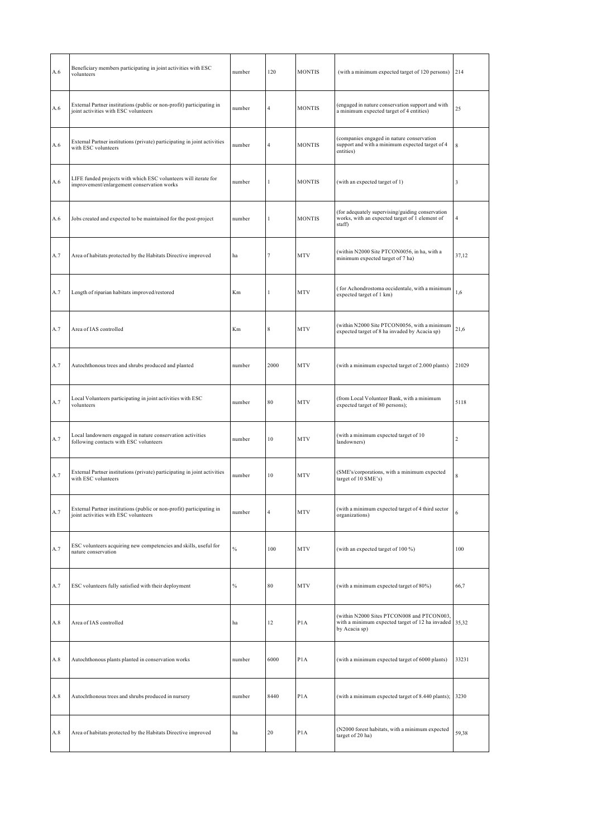| A.6 | Beneficiary members participating in joint activities with ESC<br>volunteers                                  | number        | 120            | <b>MONTIS</b>    | (with a minimum expected target of 120 persons)                                                                      | 214            |
|-----|---------------------------------------------------------------------------------------------------------------|---------------|----------------|------------------|----------------------------------------------------------------------------------------------------------------------|----------------|
| A.6 | External Partner institutions (public or non-profit) participating in<br>joint activities with ESC volunteers | number        | 4              | <b>MONTIS</b>    | (engaged in nature conservation support and with<br>a minimum expected target of 4 entities)                         | 25             |
| A.6 | External Partner institutions (private) participating in joint activities<br>with ESC volunteers              | number        | 4              | <b>MONTIS</b>    | (companies engaged in nature conservation<br>support and with a minimum expected target of 4<br>entities)            | 8              |
| A.6 | LIFE funded projects with which ESC volunteers will iterate for<br>improvement/enlargement conservation works | number        | 1              | <b>MONTIS</b>    | (with an expected target of 1)                                                                                       | 3              |
| A.6 | Jobs created and expected to be maintained for the post-project                                               | number        | 1              | <b>MONTIS</b>    | (for adequately supervising/guiding conservation<br>works, with an expected target of 1 element of<br>staff)         | $\overline{4}$ |
| A.7 | Area of habitats protected by the Habitats Directive improved                                                 | ha            | 7              | MTV              | (within N2000 Site PTCON0056, in ha, with a<br>minimum expected target of 7 ha)                                      | 37,12          |
| A.7 | Length of riparian habitats improved/restored                                                                 | Km            | $\mathbf{1}$   | <b>MTV</b>       | (for Achondrostoma occidentale, with a minimum<br>expected target of 1 km)                                           | 1,6            |
| A.7 | Area of IAS controlled                                                                                        | Km            | 8              | MTV              | (within N2000 Site PTCON0056, with a minimum<br>expected target of 8 ha invaded by Acacia sp)                        | 21,6           |
| A.7 | Autochthonous trees and shrubs produced and planted                                                           | number        | 2000           | MTV              | (with a minimum expected target of 2.000 plants)                                                                     | 21029          |
| A.7 | Local Volunteers participating in joint activities with ESC<br>volunteers                                     | number        | 80             | <b>MTV</b>       | (from Local Volunteer Bank, with a minimum<br>expected target of 80 persons);                                        | 5118           |
| A.7 | Local landowners engaged in nature conservation activities<br>following contacts with ESC volunteers          | number        | 10             | MTV              | (with a minimum expected target of 10<br>landowners)                                                                 | $\,2$          |
| A.7 | External Partner institutions (private) participating in joint activities<br>with ESC volunteers              | number        | 10             | MTV              | (SME's/corporations, with a minimum expected<br>target of 10 SME's)                                                  | $\,$ 8 $\,$    |
| A.7 | External Partner institutions (public or non-profit) participating in<br>joint activities with ESC volunteers | number        | $\overline{4}$ | <b>MTV</b>       | (with a minimum expected target of 4 third sector<br>organizations)                                                  | 6              |
| A.7 | ESC volunteers acquiring new competencies and skills, useful for<br>nature conservation                       | $\frac{0}{0}$ | 100            | MTV              | (with an expected target of 100 %)                                                                                   | 100            |
| A.7 | ESC volunteers fully satisfied with their deployment                                                          | $\%$          | 80             | MTV              | (with a minimum expected target of 80%)                                                                              | 66,7           |
| A.8 | Area of IAS controlled                                                                                        | ha            | 12             | P <sub>1</sub> A | (within N2000 Sites PTCON008 and PTCON003,<br>with a minimum expected target of 12 ha invaded 35,32<br>by Acacia sp) |                |
| A.8 | Autochthonous plants planted in conservation works                                                            | number        | 6000           | P <sub>1</sub> A | (with a minimum expected target of 6000 plants)                                                                      | 33231          |
| A.8 | Autochthonous trees and shrubs produced in nursery                                                            | number        | 8440           | P <sub>1</sub> A | (with a minimum expected target of 8.440 plants);                                                                    | 3230           |
| A.8 | Area of habitats protected by the Habitats Directive improved                                                 | ha            | 20             | P <sub>1</sub> A | (N2000 forest habitats, with a minimum expected<br>target of 20 ha)                                                  | 59,38          |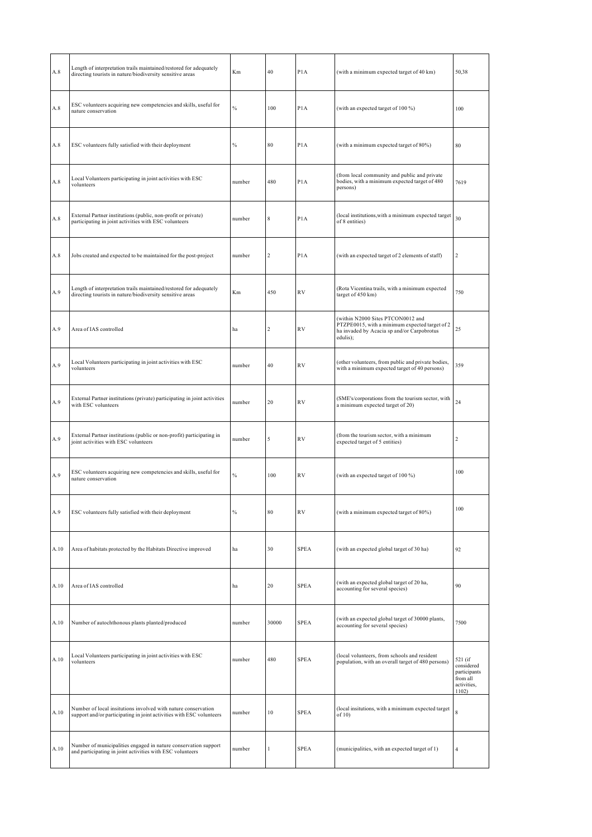| A.8  | Length of interpretation trails maintained/restored for adequately<br>directing tourists in nature/biodiversity sensitive areas       | Km            | 40               | P <sub>1</sub> A | (with a minimum expected target of 40 km)                                                                                                     | 50,38                                                                     |
|------|---------------------------------------------------------------------------------------------------------------------------------------|---------------|------------------|------------------|-----------------------------------------------------------------------------------------------------------------------------------------------|---------------------------------------------------------------------------|
| A.8  | ESC volunteers acquiring new competencies and skills, useful for<br>nature conservation                                               | $\frac{0}{6}$ | 100              | P <sub>1</sub> A | (with an expected target of 100 %)                                                                                                            | 100                                                                       |
| A.8  | ESC volunteers fully satisfied with their deployment                                                                                  | $\%$          | 80               | P <sub>1</sub> A | (with a minimum expected target of 80%)                                                                                                       | 80                                                                        |
| A.8  | Local Volunteers participating in joint activities with ESC<br>volunteers                                                             | number        | 480              | P <sub>1</sub> A | (from local community and public and private<br>bodies, with a minimum expected target of 480<br>persons)                                     | 7619                                                                      |
| A.8  | External Partner institutions (public, non-profit or private)<br>participating in joint activities with ESC volunteers                | number        | 8                | P <sub>1</sub> A | (local institutions, with a minimum expected target<br>of 8 entities)                                                                         | 30                                                                        |
| A.8  | Jobs created and expected to be maintained for the post-project                                                                       | number        | $\overline{c}$   | P <sub>1</sub> A | (with an expected target of 2 elements of staff)                                                                                              | $\overline{2}$                                                            |
| A.9  | Length of interpretation trails maintained/restored for adequately<br>directing tourists in nature/biodiversity sensitive areas       | Km            | 450              | <b>RV</b>        | (Rota Vicentina trails, with a minimum expected<br>target of 450 km)                                                                          | 750                                                                       |
| A.9  | Area of IAS controlled                                                                                                                | ha            | $\boldsymbol{2}$ | <b>RV</b>        | (within N2000 Sites PTCON0012 and<br>PTZPE0015, with a minimum expected target of 2<br>ha invaded by Acacia sp and/or Carpobrotus<br>edulis); | 25                                                                        |
| A.9  | Local Volunteers participating in joint activities with ESC<br>volunteers                                                             | number        | 40               | R <sub>V</sub>   | (other volunteers, from public and private bodies,<br>with a minimum expected target of 40 persons)                                           | 359                                                                       |
| A.9  | External Partner institutions (private) participating in joint activities<br>with ESC volunteers                                      | number        | 20               | <b>RV</b>        | (SME's/corporations from the tourism sector, with<br>a minimum expected target of 20)                                                         | 24                                                                        |
| A.9  | External Partner institutions (public or non-profit) participating in<br>joint activities with ESC volunteers                         | number        | 5                | <b>RV</b>        | (from the tourism sector, with a minimum<br>expected target of 5 entities)                                                                    | $\boldsymbol{2}$                                                          |
| A.9  | ESC volunteers acquiring new competencies and skills, useful for<br>nature conservation                                               | $\frac{0}{0}$ | 100              | RV               | (with an expected target of 100 %)                                                                                                            | 100                                                                       |
| A.9  | ESC volunteers fully satisfied with their deployment                                                                                  | $\%$          | 80               | <b>RV</b>        | (with a minimum expected target of 80%)                                                                                                       | 100                                                                       |
| A.10 | Area of habitats protected by the Habitats Directive improved                                                                         | ha            | 30               | <b>SPEA</b>      | (with an expected global target of 30 ha)                                                                                                     | 92                                                                        |
| A.10 | Area of IAS controlled                                                                                                                | ha            | 20               | <b>SPEA</b>      | (with an expected global target of 20 ha,<br>accounting for several species)                                                                  | 90                                                                        |
| A.10 | Number of autochthonous plants planted/produced                                                                                       | number        | 30000            | <b>SPEA</b>      | (with an expected global target of 30000 plants,<br>accounting for several species)                                                           | 7500                                                                      |
| A.10 | Local Volunteers participating in joint activities with ESC<br>volunteers                                                             | number        | 480              | <b>SPEA</b>      | (local volunteers, from schools and resident<br>population, with an overall target of 480 persons)                                            | 521 (if<br>considered<br>participants<br>from all<br>activities,<br>1102) |
| A.10 | Number of local insitutions involved with nature conservation<br>support and/or participating in joint activities with ESC volunteers | number        | 10               | <b>SPEA</b>      | (local insitutions, with a minimum expected target<br>of $10$ )                                                                               | 8                                                                         |
| A.10 | Number of municipalities engaged in nature conservation support<br>and participating in joint activities with ESC volunteers          | number        | 1                | <b>SPEA</b>      | (municipalities, with an expected target of 1)                                                                                                | $\overline{4}$                                                            |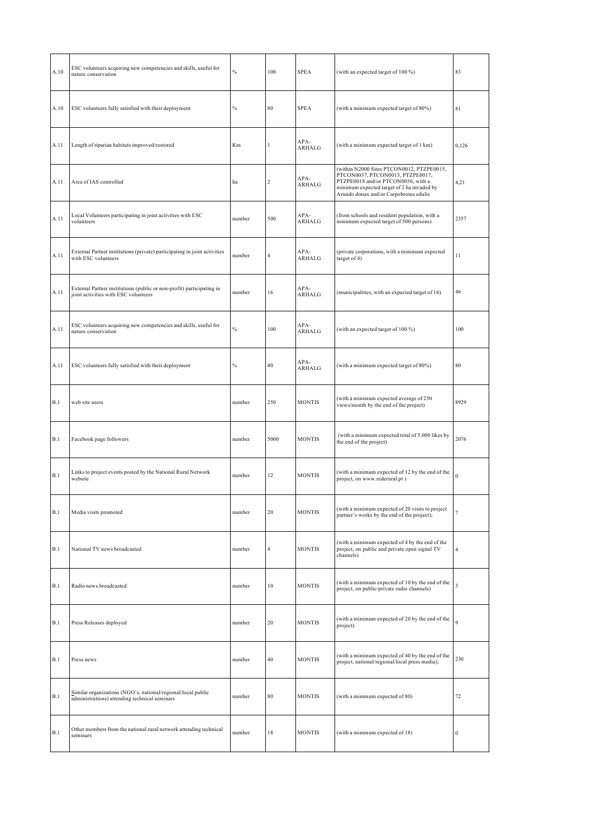| ESC volunteers acquiring new competencies and skills, useful for<br>nature conservation                       | $\frac{0}{0}$ | 100                     | <b>SPEA</b>    | (with an expected target of 100 %)                                                                                                                                                                          | 83               |
|---------------------------------------------------------------------------------------------------------------|---------------|-------------------------|----------------|-------------------------------------------------------------------------------------------------------------------------------------------------------------------------------------------------------------|------------------|
| ESC volunteers fully satisfied with their deployment                                                          | $\%$          | 80                      | <b>SPEA</b>    | (with a minimum expected target of 80%)                                                                                                                                                                     | 81               |
| Length of riparian habitats improved/restored                                                                 | Km            | 1                       | APA-<br>ARHALG | (with a minimum expected target of 1 km)                                                                                                                                                                    | 0,126            |
| Area of IAS controlled                                                                                        | ha            | $\overline{\mathbf{c}}$ | APA-<br>ARHALG | (within N2000 Sites PTCON0012, PTZPE0015,<br>PTCON0037, PTCON0013, PTZPE0017,<br>PTZPE0018 and/or PTCON0036, with a<br>minimum expected target of 2 ha invaded by<br>Arundo donax and/or Carpobrotus edulis | 4,21             |
| Local Volunteers participating in joint activities with ESC<br>volunteers                                     | number        | 500                     | APA-<br>ARHALG | (from schools and resident population, with a<br>minimum expected target of 500 persons)                                                                                                                    | 2357             |
| External Partner institutions (private) participating in joint activities<br>with ESC volunteers              | number        | 4                       | APA-<br>ARHALG | (private corporations, with a minimum expected<br>target of 4)                                                                                                                                              | 11               |
| External Partner institutions (public or non-profit) participating in<br>joint activities with ESC volunteers | number        | 16                      | APA-<br>ARHALG | (municipalities, with an expected target of 16)                                                                                                                                                             | 46               |
| ESC volunteers acquiring new competencies and skills, useful for<br>nature conservation                       | $\frac{0}{6}$ | 100                     | APA-<br>ARHALG | (with an expected target of 100 %)                                                                                                                                                                          | 100              |
| ESC volunteers fully satisfied with their deployment                                                          | $\%$          | 80                      | APA-<br>ARHALG | (with a minimum expected target of 80%)                                                                                                                                                                     | 80               |
| web site users                                                                                                | number        | 250                     | <b>MONTIS</b>  | (with a minimum expected average of 250<br>views/month by the end of the project)                                                                                                                           | 8929             |
| Facebook page followers                                                                                       | number        | 5000                    | <b>MONTIS</b>  | (with a minimum expected total of 5.000 likes by<br>the end of the project)                                                                                                                                 | 2076             |
| Links to project events posted by the National Rural Network<br>website                                       | number        | 12                      | <b>MONTIS</b>  | (with a minimum expected of 12 by the end of the<br>project, on www.rederural.pt)                                                                                                                           | $\bf{0}$         |
| Media visits promoted                                                                                         | number        | 20                      | <b>MONTIS</b>  | (with a minimum expected of 20 visits to project<br>partner's works by the end of the project);                                                                                                             | 7                |
| National TV news broadcasted                                                                                  | number        | 4                       | <b>MONTIS</b>  | (with a minimum expected of 4 by the end of the<br>project, on public and private open signal TV<br>channels)                                                                                               | 4                |
| Radio news broadcasted                                                                                        | number        | 10                      | <b>MONTIS</b>  | (with a minimum expected of 10 by the end of the<br>project, on public/private radio channels)                                                                                                              | 3                |
| Press Releases deployed                                                                                       | number        | 20                      | <b>MONTIS</b>  | (with a minimum expected of 20 by the end of the<br>project)                                                                                                                                                | 9                |
| Press news                                                                                                    | number        | 40                      | <b>MONTIS</b>  | (with a minimum expected of 40 by the end of the<br>project, national/regional/local press media);                                                                                                          | 230              |
| Similar organizations (NGO's, national/regional/local public<br>administrations) attending technical seminars | number        | 80                      | <b>MONTIS</b>  | (with a minimum expected of 80)                                                                                                                                                                             | 72               |
| Other members from the national rural network attending technical<br>seminars                                 | number        | 18                      | <b>MONTIS</b>  | (with a minimum expected of 18)                                                                                                                                                                             | $\boldsymbol{0}$ |
|                                                                                                               |               |                         |                |                                                                                                                                                                                                             |                  |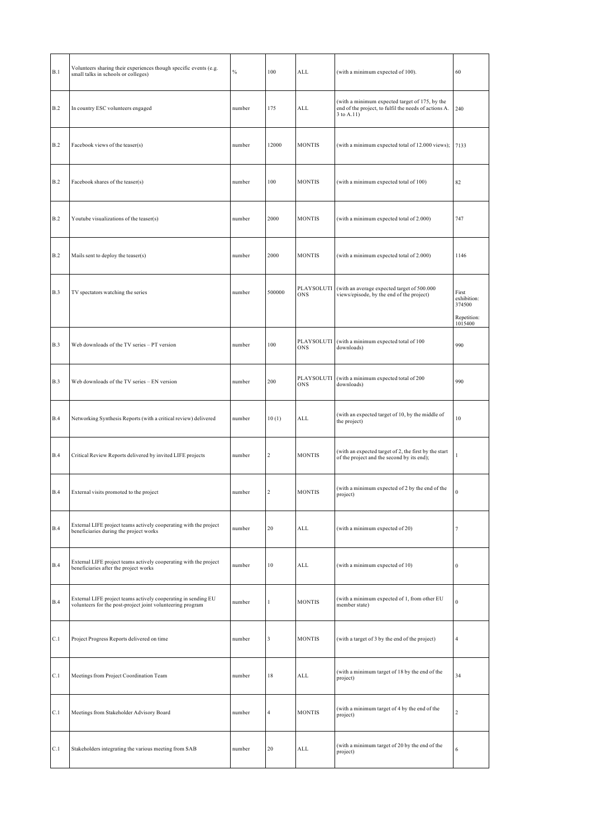| Volunteers sharing their experiences though specific events (e.g.<br>small talks in schools or colleges)                     | $\%$   | 100              | ALL               | (with a minimum expected of 100).                                                                                     | 60                                            |
|------------------------------------------------------------------------------------------------------------------------------|--------|------------------|-------------------|-----------------------------------------------------------------------------------------------------------------------|-----------------------------------------------|
| In country ESC volunteers engaged                                                                                            | number | 175              | ALL               | (with a minimum expected target of 175, by the<br>end of the project, to fulfil the needs of actions A.<br>3 to A.11) | 240                                           |
| Facebook views of the teaser(s)                                                                                              | number | 12000            | <b>MONTIS</b>     | (with a minimum expected total of 12.000 views);                                                                      | 7133                                          |
| Facebook shares of the teaser(s)                                                                                             | number | 100              | <b>MONTIS</b>     | (with a minimum expected total of 100)                                                                                | 82                                            |
| Youtube visualizations of the teaser(s)                                                                                      | number | 2000             | <b>MONTIS</b>     | (with a minimum expected total of 2.000)                                                                              | 747                                           |
| Mails sent to deploy the teaser(s)                                                                                           | number | 2000             | <b>MONTIS</b>     | (with a minimum expected total of 2.000)                                                                              | 1146                                          |
| TV spectators watching the series                                                                                            | number | 500000           | PLAYSOLUTI<br>ONS | (with an average expected target of 500.000<br>views/episode, by the end of the project)                              | First<br>exhibition:<br>374500<br>Repetition: |
| Web downloads of the TV series - PT version                                                                                  | number | 100              | PLAYSOLUTI<br>ONS | (with a minimum expected total of 100<br>downloads)                                                                   | 1015400<br>990                                |
| Web downloads of the TV series - EN version                                                                                  | number | 200              | PLAYSOLUTI<br>ONS | (with a minimum expected total of 200<br>downloads)                                                                   | 990                                           |
| Networking Synthesis Reports (with a critical review) delivered                                                              | number | 10(1)            | ALL               | (with an expected target of 10, by the middle of<br>the project)                                                      | 10                                            |
| Critical Review Reports delivered by invited LIFE projects                                                                   | number | 2                | <b>MONTIS</b>     | (with an expected target of 2, the first by the start<br>of the project and the second by its end);                   | 1                                             |
| External visits promoted to the project                                                                                      | number | $\boldsymbol{2}$ | <b>MONTIS</b>     | (with a minimum expected of 2 by the end of the<br>project)                                                           | $\boldsymbol{0}$                              |
| External LIFE project teams actively cooperating with the project<br>beneficiaries during the project works                  | number | 20               | ALL               | (with a minimum expected of 20)                                                                                       | $\overline{7}$                                |
| External LIFE project teams actively cooperating with the project<br>beneficiaries after the project works                   | number | 10               | ALL               | (with a minimum expected of 10)                                                                                       | $\bf{0}$                                      |
| External LIFE project teams actively cooperating in sending EU<br>volunteers for the post-project joint volunteering program | number | 1                | <b>MONTIS</b>     | (with a minimum expected of 1, from other EU<br>member state)                                                         | $\bf{0}$                                      |
| Project Progress Reports delivered on time                                                                                   | number | 3                | <b>MONTIS</b>     | (with a target of 3 by the end of the project)                                                                        | $\overline{4}$                                |
| Meetings from Project Coordination Team                                                                                      | number | 18               | ALL               | (with a minimum target of 18 by the end of the<br>project)                                                            | 34                                            |
| Meetings from Stakeholder Advisory Board                                                                                     | number | $\overline{4}$   | <b>MONTIS</b>     | (with a minimum target of 4 by the end of the<br>project)                                                             | $\overline{2}$                                |
| Stakeholders integrating the various meeting from SAB                                                                        | number | 20               | ALL               | (with a minimum target of 20 by the end of the<br>project)                                                            | 6                                             |
|                                                                                                                              |        |                  |                   |                                                                                                                       |                                               |